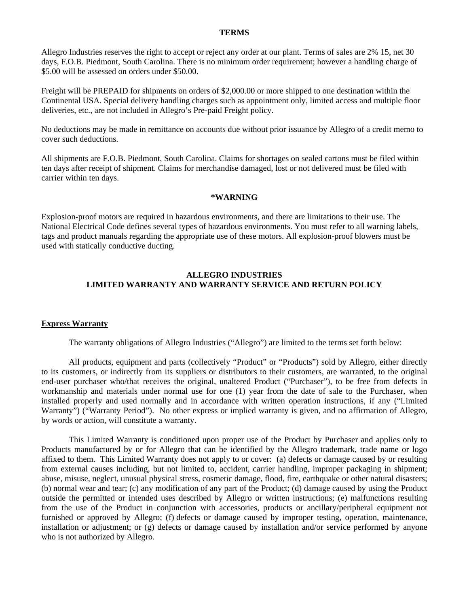### **TERMS**

Allegro Industries reserves the right to accept or reject any order at our plant. Terms of sales are 2% 15, net 30 days, F.O.B. Piedmont, South Carolina. There is no minimum order requirement; however a handling charge of \$5.00 will be assessed on orders under \$50.00.

Freight will be PREPAID for shipments on orders of \$2,000.00 or more shipped to one destination within the Continental USA. Special delivery handling charges such as appointment only, limited access and multiple floor deliveries, etc., are not included in Allegro's Pre-paid Freight policy.

No deductions may be made in remittance on accounts due without prior issuance by Allegro of a credit memo to cover such deductions.

All shipments are F.O.B. Piedmont, South Carolina. Claims for shortages on sealed cartons must be filed within ten days after receipt of shipment. Claims for merchandise damaged, lost or not delivered must be filed with carrier within ten days.

### **\*WARNING**

Explosion-proof motors are required in hazardous environments, and there are limitations to their use. The National Electrical Code defines several types of hazardous environments. You must refer to all warning labels, tags and product manuals regarding the appropriate use of these motors. All explosion-proof blowers must be used with statically conductive ducting.

# **ALLEGRO INDUSTRIES LIMITED WARRANTY AND WARRANTY SERVICE AND RETURN POLICY**

#### **Express Warranty**

The warranty obligations of Allegro Industries ("Allegro") are limited to the terms set forth below:

All products, equipment and parts (collectively "Product" or "Products") sold by Allegro, either directly to its customers, or indirectly from its suppliers or distributors to their customers, are warranted, to the original end-user purchaser who/that receives the original, unaltered Product ("Purchaser"), to be free from defects in workmanship and materials under normal use for one (1) year from the date of sale to the Purchaser, when installed properly and used normally and in accordance with written operation instructions, if any ("Limited Warranty") ("Warranty Period"). No other express or implied warranty is given, and no affirmation of Allegro, by words or action, will constitute a warranty.

This Limited Warranty is conditioned upon proper use of the Product by Purchaser and applies only to Products manufactured by or for Allegro that can be identified by the Allegro trademark, trade name or logo affixed to them. This Limited Warranty does not apply to or cover: (a) defects or damage caused by or resulting from external causes including, but not limited to, accident, carrier handling, improper packaging in shipment; abuse, misuse, neglect, unusual physical stress, cosmetic damage, flood, fire, earthquake or other natural disasters; (b) normal wear and tear; (c) any modification of any part of the Product; (d) damage caused by using the Product outside the permitted or intended uses described by Allegro or written instructions; (e) malfunctions resulting from the use of the Product in conjunction with accessories, products or ancillary/peripheral equipment not furnished or approved by Allegro; (f) defects or damage caused by improper testing, operation, maintenance, installation or adjustment; or (g) defects or damage caused by installation and/or service performed by anyone who is not authorized by Allegro.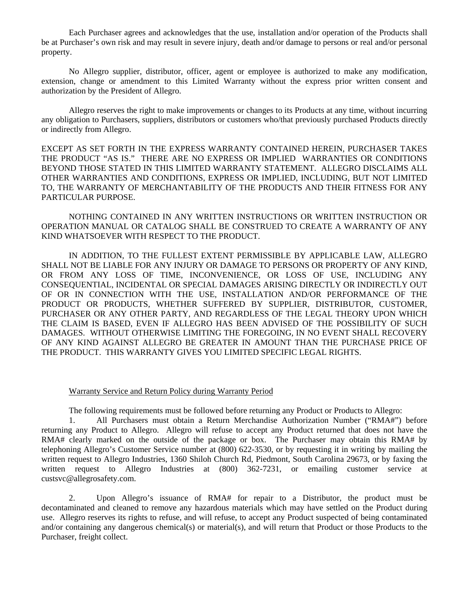Each Purchaser agrees and acknowledges that the use, installation and/or operation of the Products shall be at Purchaser's own risk and may result in severe injury, death and/or damage to persons or real and/or personal property.

No Allegro supplier, distributor, officer, agent or employee is authorized to make any modification, extension, change or amendment to this Limited Warranty without the express prior written consent and authorization by the President of Allegro.

Allegro reserves the right to make improvements or changes to its Products at any time, without incurring any obligation to Purchasers, suppliers, distributors or customers who/that previously purchased Products directly or indirectly from Allegro.

EXCEPT AS SET FORTH IN THE EXPRESS WARRANTY CONTAINED HEREIN, PURCHASER TAKES THE PRODUCT "AS IS." THERE ARE NO EXPRESS OR IMPLIED WARRANTIES OR CONDITIONS BEYOND THOSE STATED IN THIS LIMITED WARRANTY STATEMENT. ALLEGRO DISCLAIMS ALL OTHER WARRANTIES AND CONDITIONS, EXPRESS OR IMPLIED, INCLUDING, BUT NOT LIMITED TO, THE WARRANTY OF MERCHANTABILITY OF THE PRODUCTS AND THEIR FITNESS FOR ANY PARTICULAR PURPOSE.

NOTHING CONTAINED IN ANY WRITTEN INSTRUCTIONS OR WRITTEN INSTRUCTION OR OPERATION MANUAL OR CATALOG SHALL BE CONSTRUED TO CREATE A WARRANTY OF ANY KIND WHATSOEVER WITH RESPECT TO THE PRODUCT.

IN ADDITION, TO THE FULLEST EXTENT PERMISSIBLE BY APPLICABLE LAW, ALLEGRO SHALL NOT BE LIABLE FOR ANY INJURY OR DAMAGE TO PERSONS OR PROPERTY OF ANY KIND, OR FROM ANY LOSS OF TIME, INCONVENIENCE, OR LOSS OF USE, INCLUDING ANY CONSEQUENTIAL, INCIDENTAL OR SPECIAL DAMAGES ARISING DIRECTLY OR INDIRECTLY OUT OF OR IN CONNECTION WITH THE USE, INSTALLATION AND/OR PERFORMANCE OF THE PRODUCT OR PRODUCTS, WHETHER SUFFERED BY SUPPLIER, DISTRIBUTOR, CUSTOMER, PURCHASER OR ANY OTHER PARTY, AND REGARDLESS OF THE LEGAL THEORY UPON WHICH THE CLAIM IS BASED, EVEN IF ALLEGRO HAS BEEN ADVISED OF THE POSSIBILITY OF SUCH DAMAGES. WITHOUT OTHERWISE LIMITING THE FOREGOING, IN NO EVENT SHALL RECOVERY OF ANY KIND AGAINST ALLEGRO BE GREATER IN AMOUNT THAN THE PURCHASE PRICE OF THE PRODUCT. THIS WARRANTY GIVES YOU LIMITED SPECIFIC LEGAL RIGHTS.

## Warranty Service and Return Policy during Warranty Period

The following requirements must be followed before returning any Product or Products to Allegro:

1. All Purchasers must obtain a Return Merchandise Authorization Number ("RMA#") before returning any Product to Allegro. Allegro will refuse to accept any Product returned that does not have the RMA# clearly marked on the outside of the package or box. The Purchaser may obtain this RMA# by telephoning Allegro's Customer Service number at (800) 622-3530, or by requesting it in writing by mailing the written request to Allegro Industries, 1360 Shiloh Church Rd, Piedmont, South Carolina 29673, or by faxing the written request to Allegro Industries at (800) 362-7231, or emailing customer service at custsvc@allegrosafety.com.

2. Upon Allegro's issuance of RMA# for repair to a Distributor, the product must be decontaminated and cleaned to remove any hazardous materials which may have settled on the Product during use. Allegro reserves its rights to refuse, and will refuse, to accept any Product suspected of being contaminated and/or containing any dangerous chemical(s) or material(s), and will return that Product or those Products to the Purchaser, freight collect.